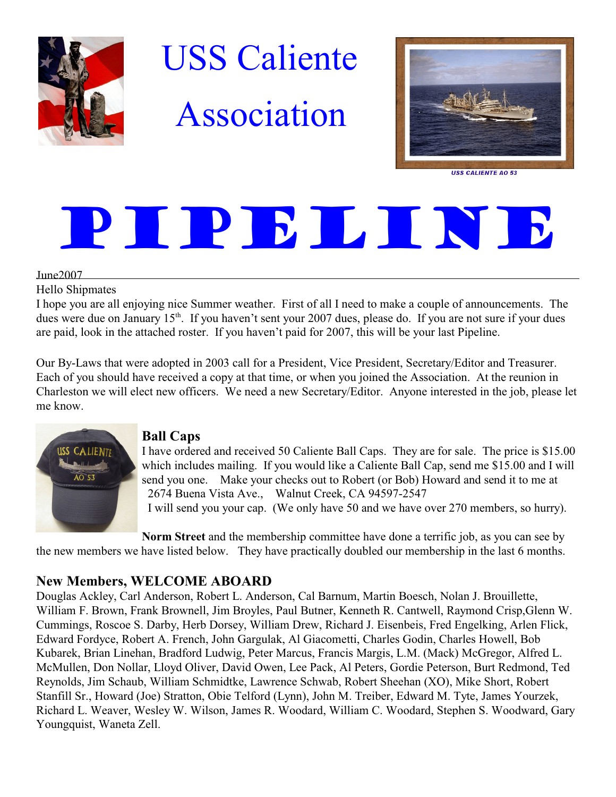

# USS Caliente

Association



**USS CALIENTE AO 53** 

# PIPELINE

June2007

Hello Shipmates

I hope you are all enjoying nice Summer weather. First of all I need to make a couple of announcements. The dues were due on January 15<sup>th</sup>. If you haven't sent your 2007 dues, please do. If you are not sure if your dues are paid, look in the attached roster. If you haven't paid for 2007, this will be your last Pipeline.

Our By-Laws that were adopted in 2003 call for a President, Vice President, Secretary/Editor and Treasurer. Each of you should have received a copy at that time, or when you joined the Association. At the reunion in Charleston we will elect new officers. We need a new Secretary/Editor. Anyone interested in the job, please let me know.



# **Ball Caps**

I have ordered and received 50 Caliente Ball Caps. They are for sale. The price is \$15.00 which includes mailing. If you would like a Caliente Ball Cap, send me \$15.00 and I will send you one. Make your checks out to Robert (or Bob) Howard and send it to me at 2674 Buena Vista Ave., Walnut Creek, CA 94597-2547

I will send you your cap. (We only have 50 and we have over 270 members, so hurry).

**Norm Street** and the membership committee have done a terrific job, as you can see by the new members we have listed below. They have practically doubled our membership in the last 6 months.

# **New Members, WELCOME ABOARD**

Douglas Ackley, Carl Anderson, Robert L. Anderson, Cal Barnum, Martin Boesch, Nolan J. Brouillette, William F. Brown, Frank Brownell, Jim Broyles, Paul Butner, Kenneth R. Cantwell, Raymond Crisp,Glenn W. Cummings, Roscoe S. Darby, Herb Dorsey, William Drew, Richard J. Eisenbeis, Fred Engelking, Arlen Flick, Edward Fordyce, Robert A. French, John Gargulak, Al Giacometti, Charles Godin, Charles Howell, Bob Kubarek, Brian Linehan, Bradford Ludwig, Peter Marcus, Francis Margis, L.M. (Mack) McGregor, Alfred L. McMullen, Don Nollar, Lloyd Oliver, David Owen, Lee Pack, Al Peters, Gordie Peterson, Burt Redmond, Ted Reynolds, Jim Schaub, William Schmidtke, Lawrence Schwab, Robert Sheehan (XO), Mike Short, Robert Stanfill Sr., Howard (Joe) Stratton, Obie Telford (Lynn), John M. Treiber, Edward M. Tyte, James Yourzek, Richard L. Weaver, Wesley W. Wilson, James R. Woodard, William C. Woodard, Stephen S. Woodward, Gary Youngquist, Waneta Zell.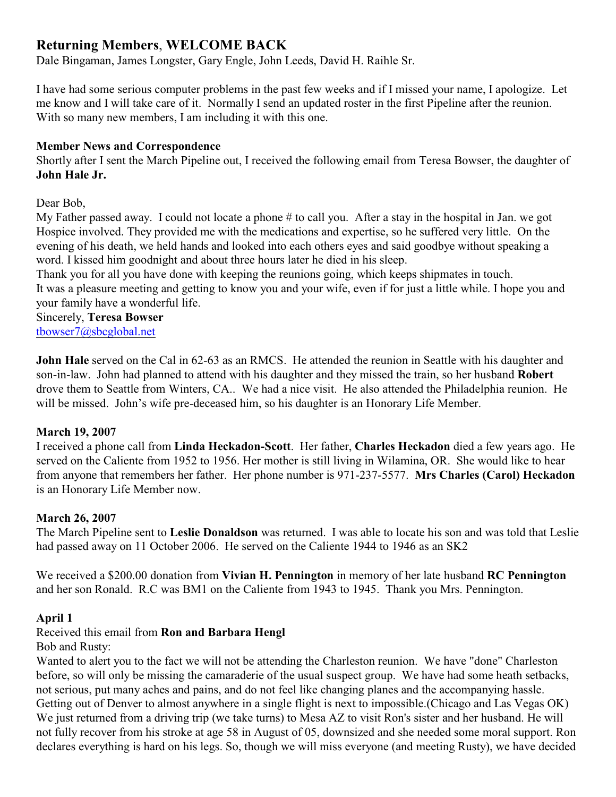# **Returning Members**, **WELCOME BACK**

Dale Bingaman, James Longster, Gary Engle, John Leeds, David H. Raihle Sr.

I have had some serious computer problems in the past few weeks and if I missed your name, I apologize. Let me know and I will take care of it. Normally I send an updated roster in the first Pipeline after the reunion. With so many new members, I am including it with this one.

#### **Member News and Correspondence**

Shortly after I sent the March Pipeline out, I received the following email from Teresa Bowser, the daughter of **John Hale Jr.**

Dear Bob,

My Father passed away. I could not locate a phone # to call you. After a stay in the hospital in Jan. we got Hospice involved. They provided me with the medications and expertise, so he suffered very little. On the evening of his death, we held hands and looked into each others eyes and said goodbye without speaking a word. I kissed him goodnight and about three hours later he died in his sleep.

Thank you for all you have done with keeping the reunions going, which keeps shipmates in touch. It was a pleasure meeting and getting to know you and your wife, even if for just a little while. I hope you and your family have a wonderful life.

Sincerely, **Teresa Bowser** [tbowser7@sbcglobal.net](mailto:tbowser7@sbcglobal.net)

**John Hale** served on the Cal in 62-63 as an RMCS. He attended the reunion in Seattle with his daughter and son-in-law. John had planned to attend with his daughter and they missed the train, so her husband **Robert** drove them to Seattle from Winters, CA.. We had a nice visit. He also attended the Philadelphia reunion. He will be missed. John's wife pre-deceased him, so his daughter is an Honorary Life Member.

#### **March 19, 2007**

I received a phone call from **Linda Heckadon-Scott**. Her father, **Charles Heckadon** died a few years ago. He served on the Caliente from 1952 to 1956. Her mother is still living in Wilamina, OR. She would like to hear from anyone that remembers her father. Her phone number is 971-237-5577. **Mrs Charles (Carol) Heckadon** is an Honorary Life Member now.

# **March 26, 2007**

The March Pipeline sent to **Leslie Donaldson** was returned. I was able to locate his son and was told that Leslie had passed away on 11 October 2006. He served on the Caliente 1944 to 1946 as an SK2

We received a \$200.00 donation from **Vivian H. Pennington** in memory of her late husband **RC Pennington** and her son Ronald. R.C was BM1 on the Caliente from 1943 to 1945. Thank you Mrs. Pennington.

# **April 1**

# Received this email from **Ron and Barbara Hengl**

#### Bob and Rusty:

Wanted to alert you to the fact we will not be attending the Charleston reunion. We have "done" Charleston before, so will only be missing the camaraderie of the usual suspect group. We have had some heath setbacks, not serious, put many aches and pains, and do not feel like changing planes and the accompanying hassle. Getting out of Denver to almost anywhere in a single flight is next to impossible.(Chicago and Las Vegas OK) We just returned from a driving trip (we take turns) to Mesa AZ to visit Ron's sister and her husband. He will not fully recover from his stroke at age 58 in August of 05, downsized and she needed some moral support. Ron declares everything is hard on his legs. So, though we will miss everyone (and meeting Rusty), we have decided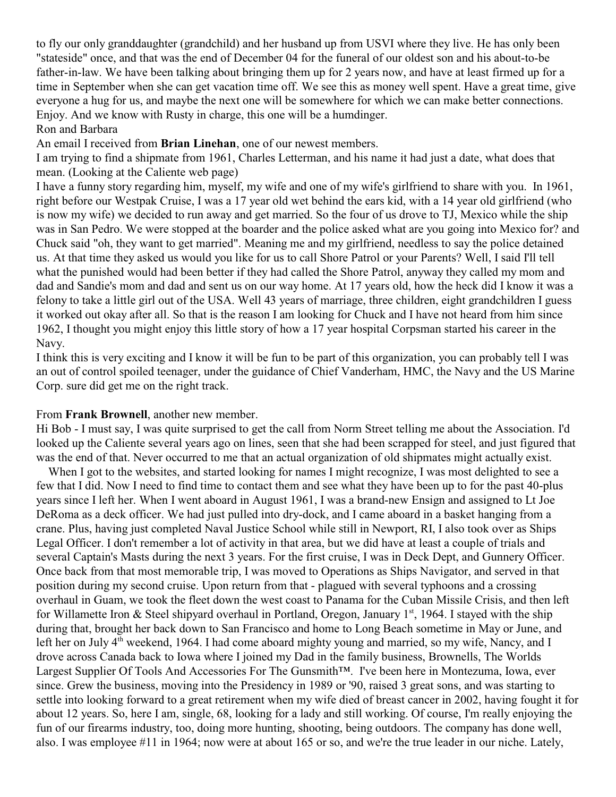to fly our only granddaughter (grandchild) and her husband up from USVI where they live. He has only been "stateside" once, and that was the end of December 04 for the funeral of our oldest son and his about-to-be father-in-law. We have been talking about bringing them up for 2 years now, and have at least firmed up for a time in September when she can get vacation time off. We see this as money well spent. Have a great time, give everyone a hug for us, and maybe the next one will be somewhere for which we can make better connections. Enjoy. And we know with Rusty in charge, this one will be a humdinger.

#### Ron and Barbara

An email I received from **Brian Linehan**, one of our newest members.

I am trying to find a shipmate from 1961, Charles Letterman, and his name it had just a date, what does that mean. (Looking at the Caliente web page)

I have a funny story regarding him, myself, my wife and one of my wife's girlfriend to share with you. In 1961, right before our Westpak Cruise, I was a 17 year old wet behind the ears kid, with a 14 year old girlfriend (who is now my wife) we decided to run away and get married. So the four of us drove to TJ, Mexico while the ship was in San Pedro. We were stopped at the boarder and the police asked what are you going into Mexico for? and Chuck said "oh, they want to get married". Meaning me and my girlfriend, needless to say the police detained us. At that time they asked us would you like for us to call Shore Patrol or your Parents? Well, I said I'll tell what the punished would had been better if they had called the Shore Patrol, anyway they called my mom and dad and Sandie's mom and dad and sent us on our way home. At 17 years old, how the heck did I know it was a felony to take a little girl out of the USA. Well 43 years of marriage, three children, eight grandchildren I guess it worked out okay after all. So that is the reason I am looking for Chuck and I have not heard from him since 1962, I thought you might enjoy this little story of how a 17 year hospital Corpsman started his career in the Navy.

I think this is very exciting and I know it will be fun to be part of this organization, you can probably tell I was an out of control spoiled teenager, under the guidance of Chief Vanderham, HMC, the Navy and the US Marine Corp. sure did get me on the right track.

#### From **Frank Brownell**, another new member.

Hi Bob - I must say, I was quite surprised to get the call from Norm Street telling me about the Association. I'd looked up the Caliente several years ago on lines, seen that she had been scrapped for steel, and just figured that was the end of that. Never occurred to me that an actual organization of old shipmates might actually exist.

When I got to the websites, and started looking for names I might recognize, I was most delighted to see a few that I did. Now I need to find time to contact them and see what they have been up to for the past 40-plus years since I left her. When I went aboard in August 1961, I was a brand-new Ensign and assigned to Lt Joe DeRoma as a deck officer. We had just pulled into dry-dock, and I came aboard in a basket hanging from a crane. Plus, having just completed Naval Justice School while still in Newport, RI, I also took over as Ships Legal Officer. I don't remember a lot of activity in that area, but we did have at least a couple of trials and several Captain's Masts during the next 3 years. For the first cruise, I was in Deck Dept, and Gunnery Officer. Once back from that most memorable trip, I was moved to Operations as Ships Navigator, and served in that position during my second cruise. Upon return from that - plagued with several typhoons and a crossing overhaul in Guam, we took the fleet down the west coast to Panama for the Cuban Missile Crisis, and then left for Willamette Iron & Steel shipyard overhaul in Portland, Oregon, January 1<sup>st</sup>, 1964. I stayed with the ship during that, brought her back down to San Francisco and home to Long Beach sometime in May or June, and left her on July 4<sup>th</sup> weekend, 1964. I had come aboard mighty young and married, so my wife, Nancy, and I drove across Canada back to Iowa where I joined my Dad in the family business, Brownells, The Worlds Largest Supplier Of Tools And Accessories For The Gunsmith™. I've been here in Montezuma, Iowa, ever since. Grew the business, moving into the Presidency in 1989 or '90, raised 3 great sons, and was starting to settle into looking forward to a great retirement when my wife died of breast cancer in 2002, having fought it for about 12 years. So, here I am, single, 68, looking for a lady and still working. Of course, I'm really enjoying the fun of our firearms industry, too, doing more hunting, shooting, being outdoors. The company has done well, also. I was employee #11 in 1964; now were at about 165 or so, and we're the true leader in our niche. Lately,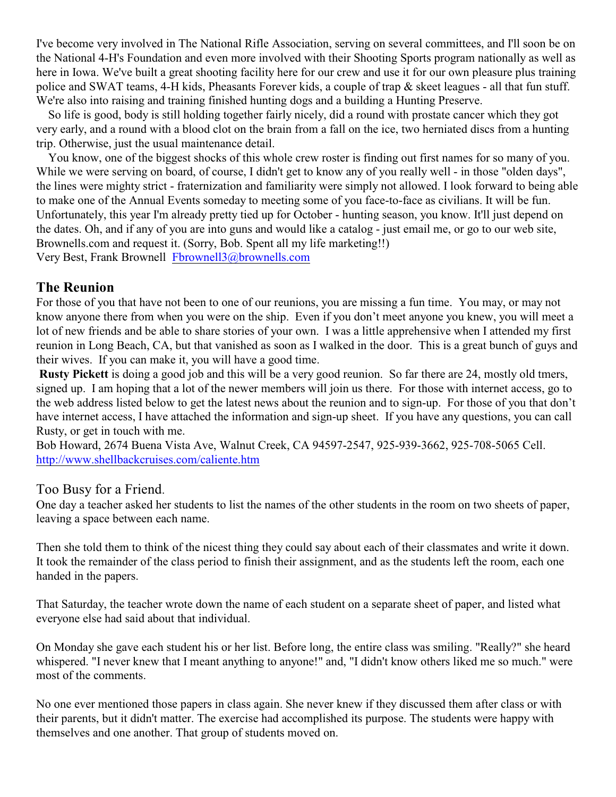I've become very involved in The National Rifle Association, serving on several committees, and I'll soon be on the National 4-H's Foundation and even more involved with their Shooting Sports program nationally as well as here in Iowa. We've built a great shooting facility here for our crew and use it for our own pleasure plus training police and SWAT teams, 4-H kids, Pheasants Forever kids, a couple of trap & skeet leagues - all that fun stuff. We're also into raising and training finished hunting dogs and a building a Hunting Preserve.

 So life is good, body is still holding together fairly nicely, did a round with prostate cancer which they got very early, and a round with a blood clot on the brain from a fall on the ice, two herniated discs from a hunting trip. Otherwise, just the usual maintenance detail.

 You know, one of the biggest shocks of this whole crew roster is finding out first names for so many of you. While we were serving on board, of course, I didn't get to know any of you really well - in those "olden days", the lines were mighty strict - fraternization and familiarity were simply not allowed. I look forward to being able to make one of the Annual Events someday to meeting some of you face-to-face as civilians. It will be fun. Unfortunately, this year I'm already pretty tied up for October - hunting season, you know. It'll just depend on the dates. Oh, and if any of you are into guns and would like a catalog - just email me, or go to our web site, Brownells.com and request it. (Sorry, Bob. Spent all my life marketing!!)

Very Best, Frank Brownell [Fbrownell3@brownells.com](mailto:Fbrownell3@brownells.com)

#### **The Reunion**

For those of you that have not been to one of our reunions, you are missing a fun time. You may, or may not know anyone there from when you were on the ship. Even if you don't meet anyone you knew, you will meet a lot of new friends and be able to share stories of your own. I was a little apprehensive when I attended my first reunion in Long Beach, CA, but that vanished as soon as I walked in the door. This is a great bunch of guys and their wives. If you can make it, you will have a good time.

**Rusty Pickett** is doing a good job and this will be a very good reunion. So far there are 24, mostly old tmers, signed up. I am hoping that a lot of the newer members will join us there. For those with internet access, go to the web address listed below to get the latest news about the reunion and to sign-up. For those of you that don't have internet access, I have attached the information and sign-up sheet. If you have any questions, you can call Rusty, or get in touch with me.

Bob Howard, 2674 Buena Vista Ave, Walnut Creek, CA 94597-2547, 925-939-3662, 925-708-5065 Cell. <http://www.shellbackcruises.com/caliente.htm>

Too Busy for a Friend.

One day a teacher asked her students to list the names of the other students in the room on two sheets of paper, leaving a space between each name.

Then she told them to think of the nicest thing they could say about each of their classmates and write it down. It took the remainder of the class period to finish their assignment, and as the students left the room, each one handed in the papers.

That Saturday, the teacher wrote down the name of each student on a separate sheet of paper, and listed what everyone else had said about that individual.

On Monday she gave each student his or her list. Before long, the entire class was smiling. "Really?" she heard whispered. "I never knew that I meant anything to anyone!" and, "I didn't know others liked me so much." were most of the comments.

No one ever mentioned those papers in class again. She never knew if they discussed them after class or with their parents, but it didn't matter. The exercise had accomplished its purpose. The students were happy with themselves and one another. That group of students moved on.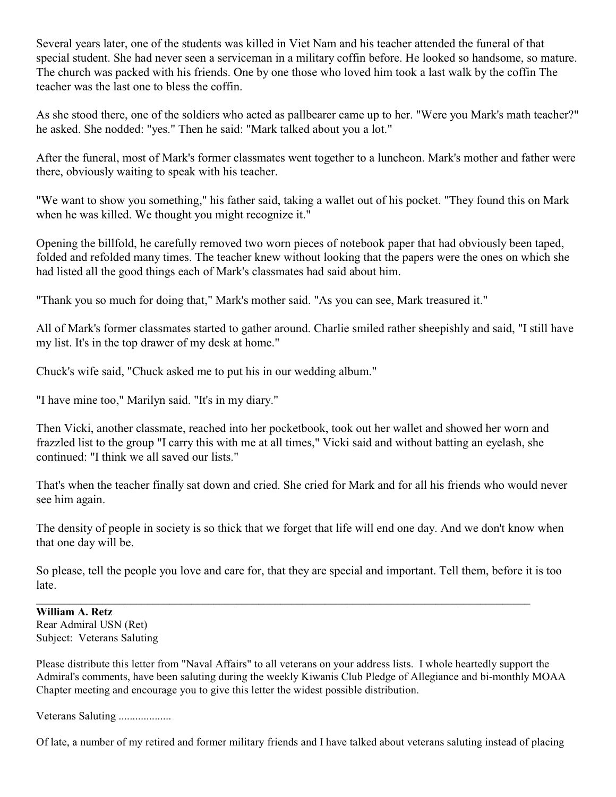Several years later, one of the students was killed in Viet Nam and his teacher attended the funeral of that special student. She had never seen a serviceman in a military coffin before. He looked so handsome, so mature. The church was packed with his friends. One by one those who loved him took a last walk by the coffin The teacher was the last one to bless the coffin.

As she stood there, one of the soldiers who acted as pallbearer came up to her. "Were you Mark's math teacher?" he asked. She nodded: "yes." Then he said: "Mark talked about you a lot."

After the funeral, most of Mark's former classmates went together to a luncheon. Mark's mother and father were there, obviously waiting to speak with his teacher.

"We want to show you something," his father said, taking a wallet out of his pocket. "They found this on Mark when he was killed. We thought you might recognize it."

Opening the billfold, he carefully removed two worn pieces of notebook paper that had obviously been taped, folded and refolded many times. The teacher knew without looking that the papers were the ones on which she had listed all the good things each of Mark's classmates had said about him.

"Thank you so much for doing that," Mark's mother said. "As you can see, Mark treasured it."

All of Mark's former classmates started to gather around. Charlie smiled rather sheepishly and said, "I still have my list. It's in the top drawer of my desk at home."

Chuck's wife said, "Chuck asked me to put his in our wedding album."

"I have mine too," Marilyn said. "It's in my diary."

Then Vicki, another classmate, reached into her pocketbook, took out her wallet and showed her worn and frazzled list to the group "I carry this with me at all times," Vicki said and without batting an eyelash, she continued: "I think we all saved our lists."

That's when the teacher finally sat down and cried. She cried for Mark and for all his friends who would never see him again.

The density of people in society is so thick that we forget that life will end one day. And we don't know when that one day will be.

So please, tell the people you love and care for, that they are special and important. Tell them, before it is too late.

 $\_$  , and the set of the set of the set of the set of the set of the set of the set of the set of the set of the set of the set of the set of the set of the set of the set of the set of the set of the set of the set of th

**William A. Retz** Rear Admiral USN (Ret) Subject: Veterans Saluting

Please distribute this letter from "Naval Affairs" to all veterans on your address lists. I whole heartedly support the Admiral's comments, have been saluting during the weekly Kiwanis Club Pledge of Allegiance and bi-monthly MOAA Chapter meeting and encourage you to give this letter the widest possible distribution.

Veterans Saluting ....................

Of late, a number of my retired and former military friends and I have talked about veterans saluting instead of placing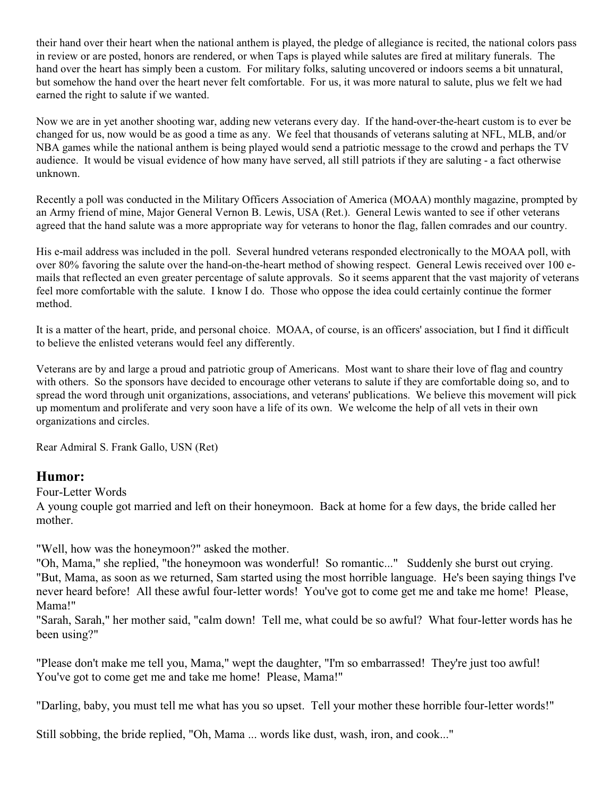their hand over their heart when the national anthem is played, the pledge of allegiance is recited, the national colors pass in review or are posted, honors are rendered, or when Taps is played while salutes are fired at military funerals. The hand over the heart has simply been a custom. For military folks, saluting uncovered or indoors seems a bit unnatural, but somehow the hand over the heart never felt comfortable. For us, it was more natural to salute, plus we felt we had earned the right to salute if we wanted.

Now we are in yet another shooting war, adding new veterans every day. If the hand-over-the-heart custom is to ever be changed for us, now would be as good a time as any. We feel that thousands of veterans saluting at NFL, MLB, and/or NBA games while the national anthem is being played would send a patriotic message to the crowd and perhaps the TV audience. It would be visual evidence of how many have served, all still patriots if they are saluting - a fact otherwise unknown.

Recently a poll was conducted in the Military Officers Association of America (MOAA) monthly magazine, prompted by an Army friend of mine, Major General Vernon B. Lewis, USA (Ret.). General Lewis wanted to see if other veterans agreed that the hand salute was a more appropriate way for veterans to honor the flag, fallen comrades and our country.

His e-mail address was included in the poll. Several hundred veterans responded electronically to the MOAA poll, with over 80% favoring the salute over the hand-on-the-heart method of showing respect. General Lewis received over 100 emails that reflected an even greater percentage of salute approvals. So it seems apparent that the vast majority of veterans feel more comfortable with the salute. I know I do. Those who oppose the idea could certainly continue the former method.

It is a matter of the heart, pride, and personal choice. MOAA, of course, is an officers' association, but I find it difficult to believe the enlisted veterans would feel any differently.

Veterans are by and large a proud and patriotic group of Americans. Most want to share their love of flag and country with others. So the sponsors have decided to encourage other veterans to salute if they are comfortable doing so, and to spread the word through unit organizations, associations, and veterans' publications. We believe this movement will pick up momentum and proliferate and very soon have a life of its own. We welcome the help of all vets in their own organizations and circles.

Rear Admiral S. Frank Gallo, USN (Ret)

#### **Humor:**

Four-Letter Words

A young couple got married and left on their honeymoon. Back at home for a few days, the bride called her mother.

"Well, how was the honeymoon?" asked the mother.

"Oh, Mama," she replied, "the honeymoon was wonderful! So romantic..." Suddenly she burst out crying. "But, Mama, as soon as we returned, Sam started using the most horrible language. He's been saying things I've never heard before! All these awful four-letter words! You've got to come get me and take me home! Please, Mama!"

"Sarah, Sarah," her mother said, "calm down! Tell me, what could be so awful? What four-letter words has he been using?"

"Please don't make me tell you, Mama," wept the daughter, "I'm so embarrassed! They're just too awful! You've got to come get me and take me home! Please, Mama!"

"Darling, baby, you must tell me what has you so upset. Tell your mother these horrible four-letter words!"

Still sobbing, the bride replied, "Oh, Mama ... words like dust, wash, iron, and cook..."